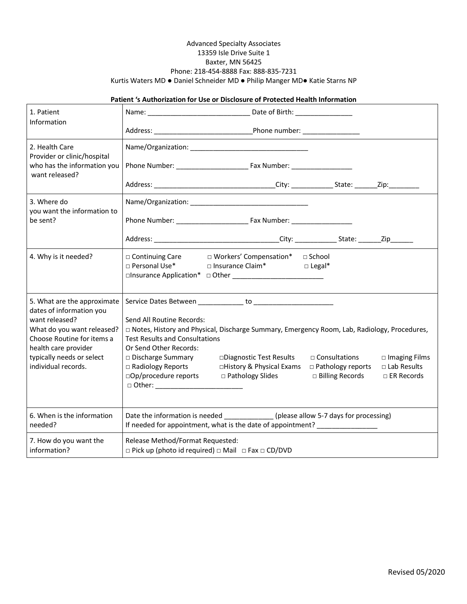## Advanced Specialty Associates 13359 Isle Drive Suite 1 Baxter, MN 56425 Phone: 218-454-8888 Fax: 888-835-7231 Kurtis Waters MD ● Daniel Schneider MD ● Philip Manger MD● Katie Starns NP

## **Patient 's Authorization for Use or Disclosure of Protected Health Information**

| 1. Patient                                                                                         |                                                                                                                                                                                               |                                                                             |                                                                       |                                                                    |
|----------------------------------------------------------------------------------------------------|-----------------------------------------------------------------------------------------------------------------------------------------------------------------------------------------------|-----------------------------------------------------------------------------|-----------------------------------------------------------------------|--------------------------------------------------------------------|
| Information                                                                                        |                                                                                                                                                                                               |                                                                             |                                                                       |                                                                    |
| 2. Health Care<br>Provider or clinic/hospital<br>who has the information you<br>want released?     |                                                                                                                                                                                               |                                                                             |                                                                       |                                                                    |
|                                                                                                    |                                                                                                                                                                                               |                                                                             |                                                                       |                                                                    |
|                                                                                                    |                                                                                                                                                                                               |                                                                             |                                                                       |                                                                    |
| 3. Where do<br>you want the information to<br>be sent?                                             |                                                                                                                                                                                               |                                                                             |                                                                       |                                                                    |
|                                                                                                    |                                                                                                                                                                                               |                                                                             |                                                                       |                                                                    |
|                                                                                                    |                                                                                                                                                                                               |                                                                             |                                                                       |                                                                    |
| 4. Why is it needed?                                                                               | □ Continuing Care<br>□ Personal Use*                                                                                                                                                          | □ Workers' Compensation*<br>□ Insurance Claim*                              | ⊟ School<br>$\Box$ Legal*                                             |                                                                    |
| 5. What are the approximate<br>dates of information you                                            |                                                                                                                                                                                               |                                                                             |                                                                       |                                                                    |
| want released?<br>What do you want released?<br>Choose Routine for items a<br>health care provider | Send All Routine Records:<br>□ Notes, History and Physical, Discharge Summary, Emergency Room, Lab, Radiology, Procedures,<br><b>Test Results and Consultations</b><br>Or Send Other Records: |                                                                             |                                                                       |                                                                    |
| typically needs or select<br>individual records.                                                   | □ Discharge Summary<br>□ Radiology Reports<br>□Op/procedure reports                                                                                                                           | □Diagnostic Test Results<br>□History & Physical Exams<br>□ Pathology Slides | $\Box$ Consultations<br>$\Box$ Pathology reports<br>□ Billing Records | $\square$ Imaging Films<br>$\Box$ Lab Results<br>$\Box$ ER Records |
| 6. When is the information<br>needed?                                                              | Date the information is needed _____________(please allow 5-7 days for processing)<br>If needed for appointment, what is the date of appointment? _______________                             |                                                                             |                                                                       |                                                                    |
| 7. How do you want the<br>information?                                                             | Release Method/Format Requested:<br>$\Box$ Pick up (photo id required) $\Box$ Mail $\Box$ Fax $\Box$ CD/DVD                                                                                   |                                                                             |                                                                       |                                                                    |